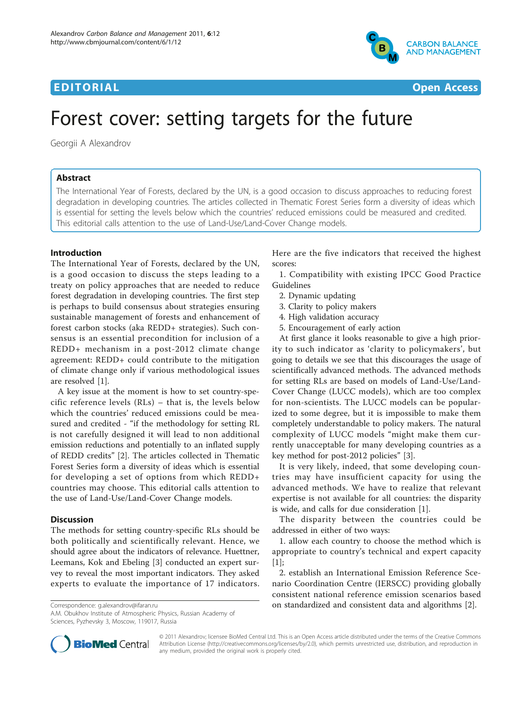



# Forest cover: setting targets for the future

Georgii A Alexandrov

## Abstract

The International Year of Forests, declared by the UN, is a good occasion to discuss approaches to reducing forest degradation in developing countries. The articles collected in Thematic Forest Series form a diversity of ideas which is essential for setting the levels below which the countries' reduced emissions could be measured and credited. This editorial calls attention to the use of Land-Use/Land-Cover Change models.

## Introduction

The International Year of Forests, declared by the UN, is a good occasion to discuss the steps leading to a treaty on policy approaches that are needed to reduce forest degradation in developing countries. The first step is perhaps to build consensus about strategies ensuring sustainable management of forests and enhancement of forest carbon stocks (aka REDD+ strategies). Such consensus is an essential precondition for inclusion of a REDD+ mechanism in a post-2012 climate change agreement: REDD+ could contribute to the mitigation of climate change only if various methodological issues are resolved [\[1](#page-1-0)].

A key issue at the moment is how to set country-specific reference levels (RLs) – that is, the levels below which the countries' reduced emissions could be measured and credited - "if the methodology for setting RL is not carefully designed it will lead to non additional emission reductions and potentially to an inflated supply of REDD credits" [[2\]](#page-1-0). The articles collected in Thematic Forest Series form a diversity of ideas which is essential for developing a set of options from which REDD+ countries may choose. This editorial calls attention to the use of Land-Use/Land-Cover Change models.

## **Discussion**

The methods for setting country-specific RLs should be both politically and scientifically relevant. Hence, we should agree about the indicators of relevance. Huettner, Leemans, Kok and Ebeling [[3\]](#page-1-0) conducted an expert survey to reveal the most important indicators. They asked experts to evaluate the importance of 17 indicators.

A.M. Obukhov Institute of Atmospheric Physics, Russian Academy of Sciences, Pyzhevsky 3, Moscow, 119017, Russia

Here are the five indicators that received the highest scores:

1. Compatibility with existing IPCC Good Practice Guidelines

- 2. Dynamic updating
- 3. Clarity to policy makers
- 4. High validation accuracy
- 5. Encouragement of early action

At first glance it looks reasonable to give a high priority to such indicator as 'clarity to policymakers', but going to details we see that this discourages the usage of scientifically advanced methods. The advanced methods for setting RLs are based on models of Land-Use/Land-Cover Change (LUCC models), which are too complex for non-scientists. The LUCC models can be popularized to some degree, but it is impossible to make them completely understandable to policy makers. The natural complexity of LUCC models "might make them currently unacceptable for many developing countries as a key method for post-2012 policies" [[3\]](#page-1-0).

It is very likely, indeed, that some developing countries may have insufficient capacity for using the advanced methods. We have to realize that relevant expertise is not available for all countries: the disparity is wide, and calls for due consideration [[1\]](#page-1-0).

The disparity between the countries could be addressed in either of two ways:

1. allow each country to choose the method which is appropriate to country's technical and expert capacity [[1\]](#page-1-0);

2. establish an International Emission Reference Scenario Coordination Centre (IERSCC) providing globally consistent national reference emission scenarios based Correspondence: [g.alexandrov@ifaran.ru](mailto:g.alexandrov@ifaran.ru) **comparent constandardized and consistent data and algorithms** [[2\]](#page-1-0).



© 2011 Alexandrov; licensee BioMed Central Ltd. This is an Open Access article distributed under the terms of the Creative Commons Attribution License [\(http://creativecommons.org/licenses/by/2.0](http://creativecommons.org/licenses/by/2.0)), which permits unrestricted use, distribution, and reproduction in any medium, provided the original work is properly cited.